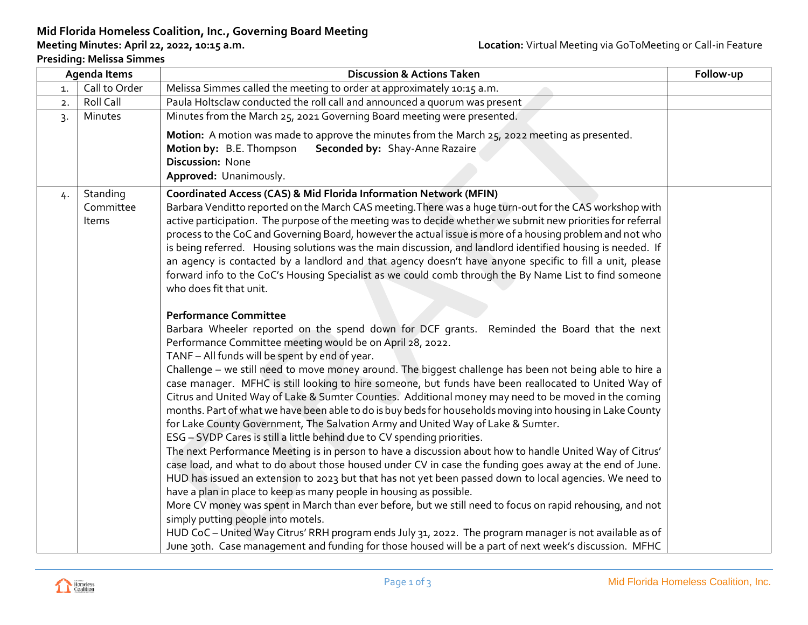# **Mid Florida Homeless Coalition, Inc., Governing Board Meeting**

### **Presiding: Melissa Simmes**

| Agenda Items                    |    |                                | <b>Discussion &amp; Actions Taken</b>                                                                                                                                                                                                                                                                                                                                                                                                                                                                                                                                                                                                                                                                                                                                                                                                                                                                                                                                                                                                                                                                                                                                                                                                                                                                                                                                                                                                                                                                                                                                                                                                                                                                                                                                                                                                                                                                                                                                                                                                                | Follow-up |
|---------------------------------|----|--------------------------------|------------------------------------------------------------------------------------------------------------------------------------------------------------------------------------------------------------------------------------------------------------------------------------------------------------------------------------------------------------------------------------------------------------------------------------------------------------------------------------------------------------------------------------------------------------------------------------------------------------------------------------------------------------------------------------------------------------------------------------------------------------------------------------------------------------------------------------------------------------------------------------------------------------------------------------------------------------------------------------------------------------------------------------------------------------------------------------------------------------------------------------------------------------------------------------------------------------------------------------------------------------------------------------------------------------------------------------------------------------------------------------------------------------------------------------------------------------------------------------------------------------------------------------------------------------------------------------------------------------------------------------------------------------------------------------------------------------------------------------------------------------------------------------------------------------------------------------------------------------------------------------------------------------------------------------------------------------------------------------------------------------------------------------------------------|-----------|
| Call to Order<br>$\mathbf{1}$ . |    |                                | Melissa Simmes called the meeting to order at approximately 10:15 a.m.                                                                                                                                                                                                                                                                                                                                                                                                                                                                                                                                                                                                                                                                                                                                                                                                                                                                                                                                                                                                                                                                                                                                                                                                                                                                                                                                                                                                                                                                                                                                                                                                                                                                                                                                                                                                                                                                                                                                                                               |           |
|                                 | 2. | Roll Call                      | Paula Holtsclaw conducted the roll call and announced a quorum was present                                                                                                                                                                                                                                                                                                                                                                                                                                                                                                                                                                                                                                                                                                                                                                                                                                                                                                                                                                                                                                                                                                                                                                                                                                                                                                                                                                                                                                                                                                                                                                                                                                                                                                                                                                                                                                                                                                                                                                           |           |
|                                 | 3. | Minutes                        | Minutes from the March 25, 2021 Governing Board meeting were presented.                                                                                                                                                                                                                                                                                                                                                                                                                                                                                                                                                                                                                                                                                                                                                                                                                                                                                                                                                                                                                                                                                                                                                                                                                                                                                                                                                                                                                                                                                                                                                                                                                                                                                                                                                                                                                                                                                                                                                                              |           |
|                                 |    |                                | Motion: A motion was made to approve the minutes from the March 25, 2022 meeting as presented.<br>Motion by: B.E. Thompson<br>Seconded by: Shay-Anne Razaire<br>Discussion: None<br>Approved: Unanimously.                                                                                                                                                                                                                                                                                                                                                                                                                                                                                                                                                                                                                                                                                                                                                                                                                                                                                                                                                                                                                                                                                                                                                                                                                                                                                                                                                                                                                                                                                                                                                                                                                                                                                                                                                                                                                                           |           |
|                                 | 4. | Standing<br>Committee<br>Items | <b>Coordinated Access (CAS) &amp; Mid Florida Information Network (MFIN)</b><br>Barbara Venditto reported on the March CAS meeting. There was a huge turn-out for the CAS workshop with<br>active participation. The purpose of the meeting was to decide whether we submit new priorities for referral<br>process to the CoC and Governing Board, however the actual issue is more of a housing problem and not who<br>is being referred. Housing solutions was the main discussion, and landlord identified housing is needed. If<br>an agency is contacted by a landlord and that agency doesn't have anyone specific to fill a unit, please<br>forward info to the CoC's Housing Specialist as we could comb through the By Name List to find someone<br>who does fit that unit.<br><b>Performance Committee</b><br>Barbara Wheeler reported on the spend down for DCF grants. Reminded the Board that the next<br>Performance Committee meeting would be on April 28, 2022.<br>TANF - All funds will be spent by end of year.<br>Challenge - we still need to move money around. The biggest challenge has been not being able to hire a<br>case manager. MFHC is still looking to hire someone, but funds have been reallocated to United Way of<br>Citrus and United Way of Lake & Sumter Counties. Additional money may need to be moved in the coming<br>months. Part of what we have been able to do is buy beds for households moving into housing in Lake County<br>for Lake County Government, The Salvation Army and United Way of Lake & Sumter.<br>ESG - SVDP Cares is still a little behind due to CV spending priorities.<br>The next Performance Meeting is in person to have a discussion about how to handle United Way of Citrus'<br>case load, and what to do about those housed under CV in case the funding goes away at the end of June.<br>HUD has issued an extension to 2023 but that has not yet been passed down to local agencies. We need to<br>have a plan in place to keep as many people in housing as possible. |           |
|                                 |    |                                | More CV money was spent in March than ever before, but we still need to focus on rapid rehousing, and not<br>simply putting people into motels.<br>HUD CoC - United Way Citrus' RRH program ends July 31, 2022. The program manager is not available as of<br>June 30th. Case management and funding for those housed will be a part of next week's discussion. MFHC                                                                                                                                                                                                                                                                                                                                                                                                                                                                                                                                                                                                                                                                                                                                                                                                                                                                                                                                                                                                                                                                                                                                                                                                                                                                                                                                                                                                                                                                                                                                                                                                                                                                                 |           |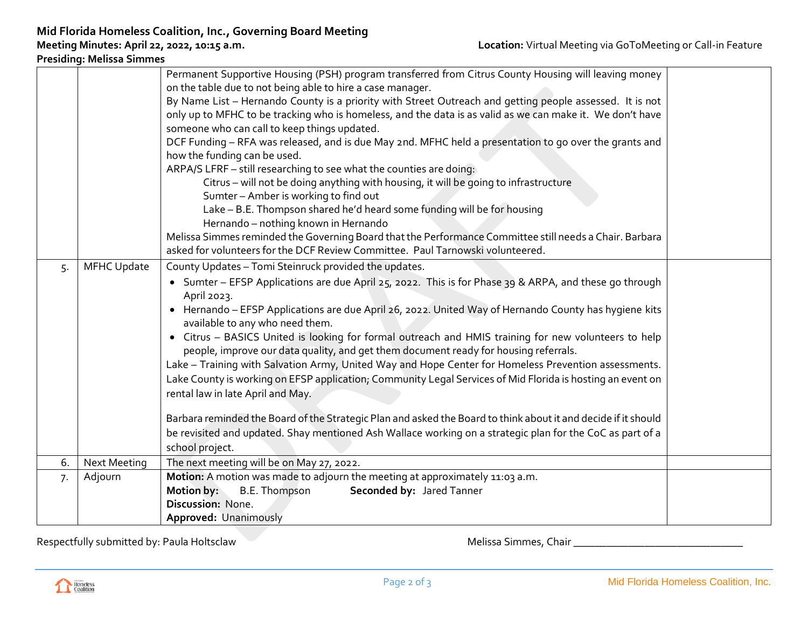**Presiding: Melissa Simmes**

|    |                     | Permanent Supportive Housing (PSH) program transferred from Citrus County Housing will leaving money                                     |  |  |  |  |
|----|---------------------|------------------------------------------------------------------------------------------------------------------------------------------|--|--|--|--|
|    |                     | on the table due to not being able to hire a case manager.                                                                               |  |  |  |  |
|    |                     | By Name List - Hernando County is a priority with Street Outreach and getting people assessed. It is not                                 |  |  |  |  |
|    |                     | only up to MFHC to be tracking who is homeless, and the data is as valid as we can make it. We don't have                                |  |  |  |  |
|    |                     | someone who can call to keep things updated.                                                                                             |  |  |  |  |
|    |                     | DCF Funding - RFA was released, and is due May 2nd. MFHC held a presentation to go over the grants and                                   |  |  |  |  |
|    |                     | how the funding can be used.                                                                                                             |  |  |  |  |
|    |                     | ARPA/S LFRF - still researching to see what the counties are doing:                                                                      |  |  |  |  |
|    |                     | Citrus - will not be doing anything with housing, it will be going to infrastructure                                                     |  |  |  |  |
|    |                     | Sumter - Amber is working to find out                                                                                                    |  |  |  |  |
|    |                     | Lake - B.E. Thompson shared he'd heard some funding will be for housing                                                                  |  |  |  |  |
|    |                     | Hernando - nothing known in Hernando                                                                                                     |  |  |  |  |
|    |                     | Melissa Simmes reminded the Governing Board that the Performance Committee still needs a Chair. Barbara                                  |  |  |  |  |
|    |                     | asked for volunteers for the DCF Review Committee. Paul Tarnowski volunteered.                                                           |  |  |  |  |
| 5. | <b>MFHC Update</b>  | County Updates - Tomi Steinruck provided the updates.                                                                                    |  |  |  |  |
|    |                     | • Sumter – EFSP Applications are due April 25, 2022. This is for Phase 39 & ARPA, and these go through                                   |  |  |  |  |
|    |                     | April 2023.                                                                                                                              |  |  |  |  |
|    |                     | • Hernando - EFSP Applications are due April 26, 2022. United Way of Hernando County has hygiene kits<br>available to any who need them. |  |  |  |  |
|    |                     | • Citrus - BASICS United is looking for formal outreach and HMIS training for new volunteers to help                                     |  |  |  |  |
|    |                     | people, improve our data quality, and get them document ready for housing referrals.                                                     |  |  |  |  |
|    |                     | Lake - Training with Salvation Army, United Way and Hope Center for Homeless Prevention assessments.                                     |  |  |  |  |
|    |                     | Lake County is working on EFSP application; Community Legal Services of Mid Florida is hosting an event on                               |  |  |  |  |
|    |                     | rental law in late April and May.                                                                                                        |  |  |  |  |
|    |                     |                                                                                                                                          |  |  |  |  |
|    |                     | Barbara reminded the Board of the Strategic Plan and asked the Board to think about it and decide if it should                           |  |  |  |  |
|    |                     | be revisited and updated. Shay mentioned Ash Wallace working on a strategic plan for the CoC as part of a                                |  |  |  |  |
|    |                     | school project.                                                                                                                          |  |  |  |  |
| 6. | <b>Next Meeting</b> | The next meeting will be on May 27, 2022.                                                                                                |  |  |  |  |
| 7. | Adjourn             | Motion: A motion was made to adjourn the meeting at approximately 11:03 a.m.                                                             |  |  |  |  |
|    |                     | Motion by:<br>B.E. Thompson<br>Seconded by: Jared Tanner                                                                                 |  |  |  |  |
|    |                     | Discussion: None.                                                                                                                        |  |  |  |  |
|    |                     | Approved: Unanimously                                                                                                                    |  |  |  |  |

Respectfully submitted by: Paula Holtsclaw Melissa Simmes, Chair \_\_\_\_\_\_\_\_\_\_\_\_\_\_\_\_\_\_\_\_\_\_\_\_\_\_\_\_\_\_\_